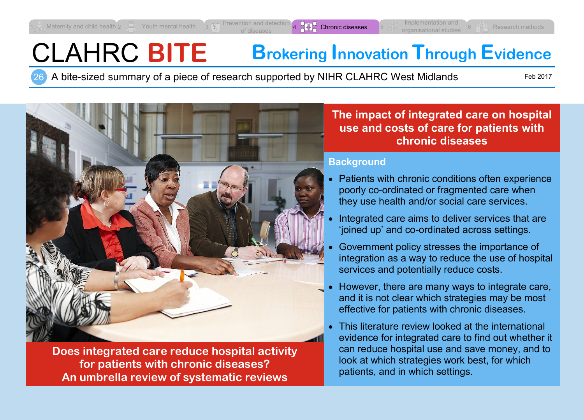# CLAHRC **BITE Brokering Innovation Through Evidence**

26 A bite-sized summary of a piece of research supported by NIHR CLAHRC West Midlands

Feb 2017



**Does integrated care reduce hospital activity for patients with chronic diseases? An umbrella review of systematic reviews**

**The impact of integrated care on hospital use and costs of care for patients with chronic diseases**

### **Background**

- Patients with chronic conditions often experience poorly co-ordinated or fragmented care when they use health and/or social care services.
- Integrated care aims to deliver services that are 'joined up' and co-ordinated across settings.
- Government policy stresses the importance of integration as a way to reduce the use of hospital services and potentially reduce costs.
- However, there are many ways to integrate care, and it is not clear which strategies may be most effective for patients with chronic diseases.
- This literature review looked at the international evidence for integrated care to find out whether it can reduce hospital use and save money, and to look at which strategies work best, for which patients, and in which settings.